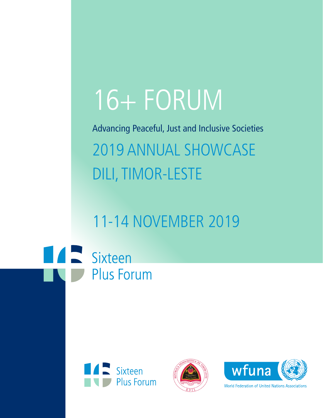# 16+ FORUM

Advancing Peaceful, Just and Inclusive Societies 2019 ANNUAL SHOWCASE DILI, TIMOR-LESTE

11-14 NOVEMBER 2019

**TAN Sixteen Plus Forum** 







**World Federation of United Nations Associations**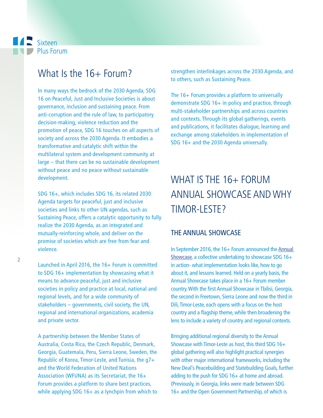### **A** Sixteen Plus Forum

## What  $\mathsf{Is}$  the  $16+$  Forum?

In many ways the bedrock of the 2030 Agenda, SDG 16 on Peaceful, Just and Inclusive Societies is about governance, inclusion and sustaining peace. From anti-corruption and the rule of law, to participatory decision-making, violence reduction and the promotion of peace, SDG 16 touches on all aspects of society and across the 2030 Agenda. It embodies a transformative and catalytic shift within the multilateral system and development community at large – that there can be no sustainable development without peace and no peace without sustainable development.

SDG 16+, which includes SDG 16, its related 2030 Agenda targets for peaceful, just and inclusive societies and links to other UN agendas, such as Sustaining Peace, offers a catalytic opportunity to fully realize the 2030 Agenda, as an integrated and mutually-reinforcing whole, and deliver on the promise of societies which are free from fear and violence.

Launched in April 2016, the 16+ Forum is committed to SDG 16+ implementation by showcasing what it means to advance peaceful, just and inclusive societies in policy and practice at local, national and regional levels, and for a wide community of stakeholders – governments, civil society, the UN, regional and international organizations, academia and private sector.

A partnership between the Member States of Australia, Costa Rica, the Czech Republic, Denmark, Georgia, Guatemala, Peru, Sierra Leone, Sweden, the Republic of Korea, Timor-Leste, and Tunisia, the g7+ and the World Federation of United Nations Association (WFUNA) as its Secretariat, the 16+ Forum provides a platform to share best practices, while applying SDG 16+ as a lynchpin from which to strengthen interlinkages across the 2030 Agenda, and to others, such as Sustaining Peace.

The 16+ Forum provides a platform to universally demonstrate SDG 16+ in policy and practice, through multi-stakeholder partnerships and across countries and contexts. Through its global gatherings, events and publications, it facilitates dialogue, learning and exchange among stakeholders in implementation of SDG 16+ and the 2030 Agenda universally.

## WHAT IS THE 16+ FORUM ANNUAL SHOWCASE AND WHY TIMOR-LESTE?

#### THE ANNUAL SHOWCASE

In September 2016, the 16+ Forum announced the Annual Showcase, a collective undertaking to showcase SDG 16+ in action- what implementation looks like, how to go about it, and lessons learned. Held on a yearly basis, the Annual Showcase takes place in a 16+ Forum member country. With the frst Annual Showcase in Tbilisi, Georgia, the second in Freetown, Sierra Leone and now the third in Dili, Timor-Leste, each opens with a focus on the host country and a flagship theme, while then broadening the lens to include a variety of country and regional contexts.

Bringing additional regional diversity to the Annual Showcase with Timor-Leste as host, this third SDG 16+ global gathering will also highlight practical synergies with other major international frameworks, including the New Deal's Peacebuilding and Statebuilding Goals, further adding to the push for SDG  $16+$  at home and abroad. (Previously, in Georgia, links were made between SDG 16+ and the Open Government Partnership, of which is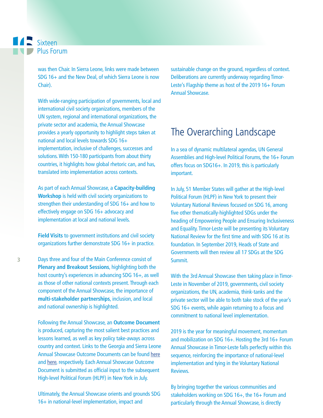was then Chair. In Sierra Leone, links were made between SDG 16+ and the New Deal, of which Sierra Leone is now Chair).

With wide-ranging participation of governments, local and international civil society organizations, members of the UN system, regional and international organizations, the private sector and academia, the Annual Showcase provides a yearly opportunity to highlight steps taken at national and local levels towards SDG 16+ implementation, inclusive of challenges, successes and solutions. With 150-180 participants from about thirty countries, it highlights how global rhetoric can, and has, translated into implementation across contexts.

As part of each Annual Showcase, a **Capacity-building Workshop** is held with civil society organizations to strengthen their understanding of SDG 16+ and how to effectively engage on SDG 16+ advocacy and implementation at local and national levels.

**Field Visits** to government institutions and civil society organizations further demonstrate SDG 16+ in practice.

Days three and four of the Main Conference consist of **Plenary and Breakout Sessions**, highlighting both the host country's experiences in advancing SDG 16+, as well as those of other national contexts present. Through each component of the Annual Showcase, the importance of **multi-stakeholder partnerships**, inclusion, and local and national ownership is highlighted.

Following the Annual Showcase, an **Outcome Document** is produced, capturing the most salient best practices and lessons learned, as well as key policy take-aways across country and context. Links to the Georgia and Sierra Leone Annual Showcase Outcome Documents can be found here and here, respectively. Each Annual Showcase Outcome Document is submitted as official input to the subsequent High-level Political Forum (HLPF) in New York in July.

Ultimately, the Annual Showcase orients and grounds SDG 16+ in national-level implementation, impact and

sustainable change on the ground, regardless of context. Deliberations are currently underway regarding Timor-Leste's Flagship theme as host of the 2019 16+ Forum Annual Showcase.

## The Overarching Landscape

In a sea of dynamic multilateral agendas, UN General Assemblies and High-level Political Forums, the 16+ Forum offers focus on SDG16+. In 2019, this is particularly important.

In July, 51 Member States will gather at the High-level Political Forum (HLPF) in New York to present their Voluntary National Reviews focused on SDG 16, among five other thematically-highlighted SDGs under the heading of Empowering People and Ensuring Inclusiveness and Equality. Timor-Leste will be presenting its Voluntary National Review for the first time and with SDG 16 at its foundation. In September 2019, Heads of State and Governments will then review all 17 SDGs at the SDG Summit.

With the 3rd Annual Showcase then taking place in Timor-Leste in November of 2019, governments, civil society organizations, the UN, academia, think-tanks and the private sector will be able to both take stock of the year's SDG 16+ events, while again returning to a focus and commitment to national level implementation.

2019 is the year for meaningful movement, momentum and mobilization on SDG 16+. Hosting the 3rd 16+ Forum Annual Showcase in Timor-Leste falls perfectly within this sequence, reinforcing the importance of national-level implementation and tying in the Voluntary National Reviews.

By bringing together the various communities and stakeholders working on SDG 16+, the 16+ Forum and particularly through the Annual Showcase, is directly